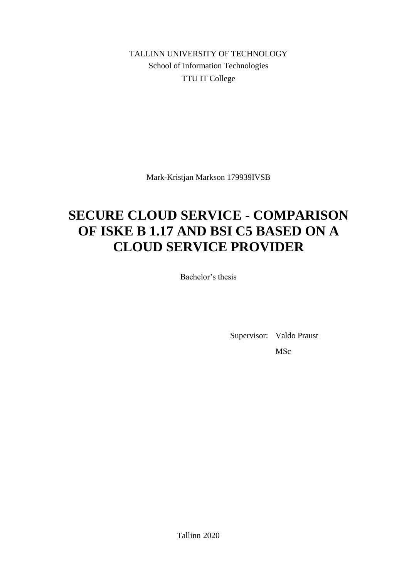TALLINN UNIVERSITY OF TECHNOLOGY School of Information Technologies TTU IT College

Mark-Kristjan Markson 179939IVSB

# **SECURE CLOUD SERVICE - COMPARISON OF ISKE B 1.17 AND BSI C5 BASED ON A CLOUD SERVICE PROVIDER**

Bachelor's thesis

Supervisor: Valdo Praust MSc

Tallinn 2020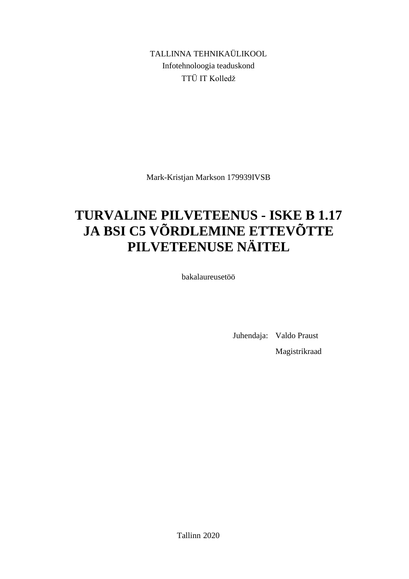TALLINNA TEHNIKAÜLIKOOL Infotehnoloogia teaduskond TTÜ IT Kolledž

Mark-Kristjan Markson 179939IVSB

# **TURVALINE PILVETEENUS - ISKE B 1.17 JA BSI C5 VÕRDLEMINE ETTEVÕTTE PILVETEENUSE NÄITEL**

bakalaureusetöö

Juhendaja: Valdo Praust Magistrikraad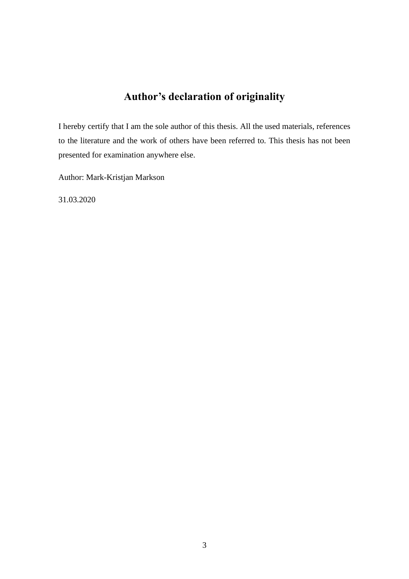## **Author's declaration of originality**

I hereby certify that I am the sole author of this thesis. All the used materials, references to the literature and the work of others have been referred to. This thesis has not been presented for examination anywhere else.

Author: Mark-Kristjan Markson

31.03.2020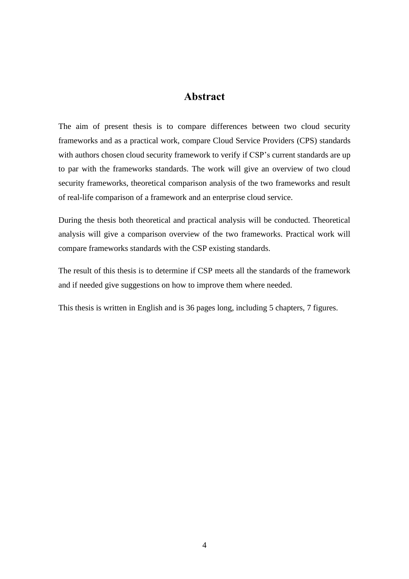## **Abstract**

The aim of present thesis is to compare differences between two cloud security frameworks and as a practical work, compare Cloud Service Providers (CPS) standards with authors chosen cloud security framework to verify if CSP's current standards are up to par with the frameworks standards. The work will give an overview of two cloud security frameworks, theoretical comparison analysis of the two frameworks and result of real-life comparison of a framework and an enterprise cloud service.

During the thesis both theoretical and practical analysis will be conducted. Theoretical analysis will give a comparison overview of the two frameworks. Practical work will compare frameworks standards with the CSP existing standards.

The result of this thesis is to determine if CSP meets all the standards of the framework and if needed give suggestions on how to improve them where needed.

This thesis is written in English and is 36 pages long, including 5 chapters, 7 figures.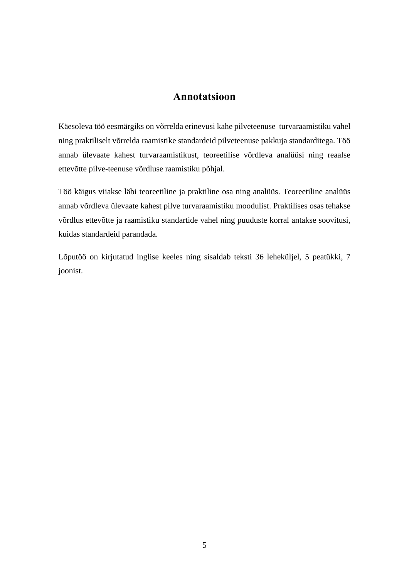## **Annotatsioon**

Käesoleva töö eesmärgiks on võrrelda erinevusi kahe pilveteenuse turvaraamistiku vahel ning praktiliselt võrrelda raamistike standardeid pilveteenuse pakkuja standarditega. Töö annab ülevaate kahest turvaraamistikust, teoreetilise võrdleva analüüsi ning reaalse ettevõtte pilve-teenuse võrdluse raamistiku põhjal.

Töö käigus viiakse läbi teoreetiline ja praktiline osa ning analüüs. Teoreetiline analüüs annab võrdleva ülevaate kahest pilve turvaraamistiku moodulist. Praktilises osas tehakse võrdlus ettevõtte ja raamistiku standartide vahel ning puuduste korral antakse soovitusi, kuidas standardeid parandada.

Lõputöö on kirjutatud inglise keeles ning sisaldab teksti 36 leheküljel, 5 peatükki, 7 joonist.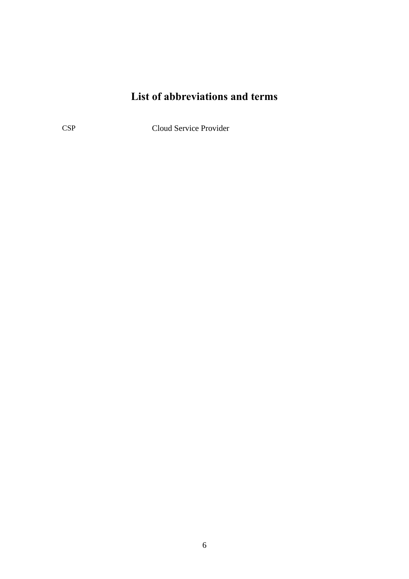## **List of abbreviations and terms**

CSP Cloud Service Provider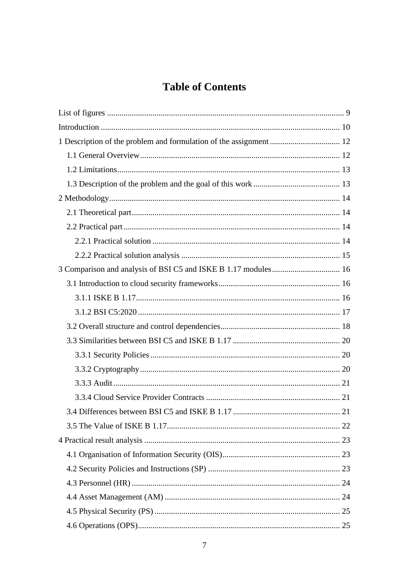## **Table of Contents**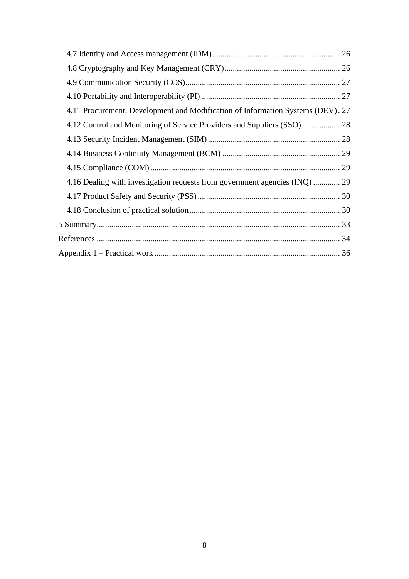| 4.11 Procurement, Development and Modification of Information Systems (DEV). 27 |  |
|---------------------------------------------------------------------------------|--|
| 4.12 Control and Monitoring of Service Providers and Suppliers (SSO)  28        |  |
|                                                                                 |  |
|                                                                                 |  |
|                                                                                 |  |
| 4.16 Dealing with investigation requests from government agencies (INQ)  29     |  |
|                                                                                 |  |
|                                                                                 |  |
|                                                                                 |  |
|                                                                                 |  |
|                                                                                 |  |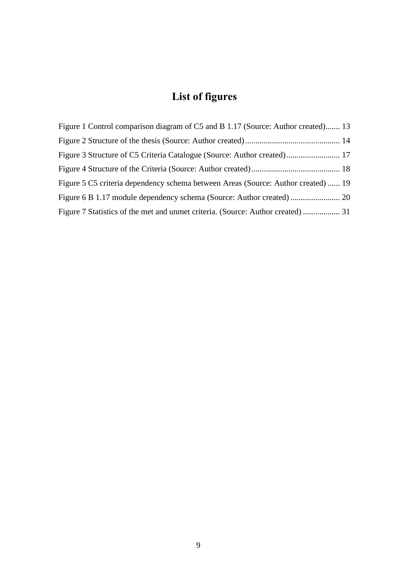# **List of figures**

<span id="page-8-0"></span>

| Figure 1 Control comparison diagram of C5 and B 1.17 (Source: Author created) 13  |  |
|-----------------------------------------------------------------------------------|--|
|                                                                                   |  |
| Figure 3 Structure of C5 Criteria Catalogue (Source: Author created) 17           |  |
|                                                                                   |  |
| Figure 5 C5 criteria dependency schema between Areas (Source: Author created)  19 |  |
|                                                                                   |  |
| Figure 7 Statistics of the met and unmet criteria. (Source: Author created)  31   |  |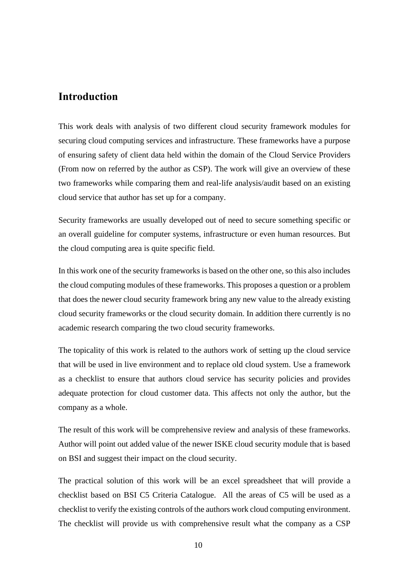## <span id="page-9-0"></span>**Introduction**

This work deals with analysis of two different cloud security framework modules for securing cloud computing services and infrastructure. These frameworks have a purpose of ensuring safety of client data held within the domain of the Cloud Service Providers (From now on referred by the author as CSP). The work will give an overview of these two frameworks while comparing them and real-life analysis/audit based on an existing cloud service that author has set up for a company.

Security frameworks are usually developed out of need to secure something specific or an overall guideline for computer systems, infrastructure or even human resources. But the cloud computing area is quite specific field.

In this work one of the security frameworks is based on the other one, so this also includes the cloud computing modules of these frameworks. This proposes a question or a problem that does the newer cloud security framework bring any new value to the already existing cloud security frameworks or the cloud security domain. In addition there currently is no academic research comparing the two cloud security frameworks.

The topicality of this work is related to the authors work of setting up the cloud service that will be used in live environment and to replace old cloud system. Use a framework as a checklist to ensure that authors cloud service has security policies and provides adequate protection for cloud customer data. This affects not only the author, but the company as a whole.

The result of this work will be comprehensive review and analysis of these frameworks. Author will point out added value of the newer ISKE cloud security module that is based on BSI and suggest their impact on the cloud security.

The practical solution of this work will be an excel spreadsheet that will provide a checklist based on BSI C5 Criteria Catalogue. All the areas of C5 will be used as a checklist to verify the existing controls of the authors work cloud computing environment. The checklist will provide us with comprehensive result what the company as a CSP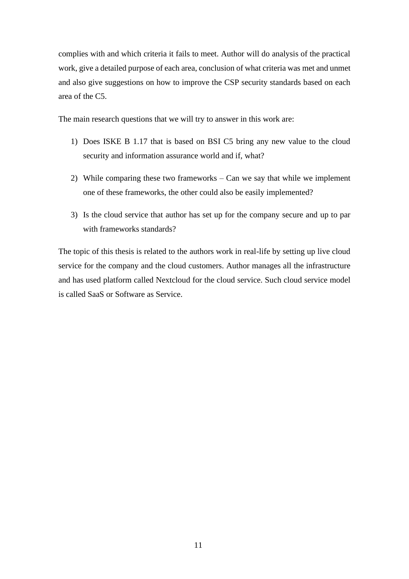complies with and which criteria it fails to meet. Author will do analysis of the practical work, give a detailed purpose of each area, conclusion of what criteria was met and unmet and also give suggestions on how to improve the CSP security standards based on each area of the C5.

The main research questions that we will try to answer in this work are:

- 1) Does ISKE B 1.17 that is based on BSI C5 bring any new value to the cloud security and information assurance world and if, what?
- 2) While comparing these two frameworks Can we say that while we implement one of these frameworks, the other could also be easily implemented?
- 3) Is the cloud service that author has set up for the company secure and up to par with frameworks standards?

The topic of this thesis is related to the authors work in real-life by setting up live cloud service for the company and the cloud customers. Author manages all the infrastructure and has used platform called Nextcloud for the cloud service. Such cloud service model is called SaaS or Software as Service.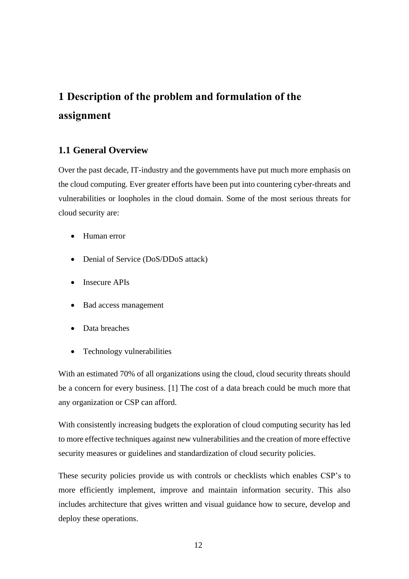# <span id="page-11-0"></span>**1 Description of the problem and formulation of the assignment**

## <span id="page-11-1"></span>**1.1 General Overview**

Over the past decade, IT-industry and the governments have put much more emphasis on the cloud computing. Ever greater efforts have been put into countering cyber-threats and vulnerabilities or loopholes in the cloud domain. Some of the most serious threats for cloud security are:

- Human error
- Denial of Service (DoS/DDoS attack)
- Insecure APIs
- Bad access management
- Data breaches
- Technology vulnerabilities

With an estimated 70% of all organizations using the cloud, cloud security threats should be a concern for every business. [1] The cost of a data breach could be much more that any organization or CSP can afford.

With consistently increasing budgets the exploration of cloud computing security has led to more effective techniques against new vulnerabilities and the creation of more effective security measures or guidelines and standardization of cloud security policies.

These security policies provide us with controls or checklists which enables CSP's to more efficiently implement, improve and maintain information security. This also includes architecture that gives written and visual guidance how to secure, develop and deploy these operations.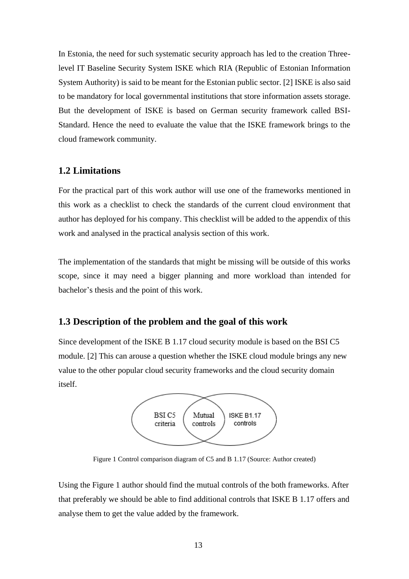In Estonia, the need for such systematic security approach has led to the creation Threelevel IT Baseline Security System ISKE which RIA (Republic of Estonian Information System Authority) is said to be meant for the Estonian public sector. [2] ISKE is also said to be mandatory for local governmental institutions that store information assets storage. But the development of ISKE is based on German security framework called BSI-Standard. Hence the need to evaluate the value that the ISKE framework brings to the cloud framework community.

### <span id="page-12-0"></span>**1.2 Limitations**

For the practical part of this work author will use one of the frameworks mentioned in this work as a checklist to check the standards of the current cloud environment that author has deployed for his company. This checklist will be added to the appendix of this work and analysed in the practical analysis section of this work.

The implementation of the standards that might be missing will be outside of this works scope, since it may need a bigger planning and more workload than intended for bachelor's thesis and the point of this work.

#### <span id="page-12-1"></span>**1.3 Description of the problem and the goal of this work**

Since development of the ISKE B 1.17 cloud security module is based on the BSI C5 module. [2] This can arouse a question whether the ISKE cloud module brings any new value to the other popular cloud security frameworks and the cloud security domain itself.



Figure 1 Control comparison diagram of C5 and B 1.17 (Source: Author created)

<span id="page-12-2"></span>Using the Figure 1 author should find the mutual controls of the both frameworks. After that preferably we should be able to find additional controls that ISKE B 1.17 offers and analyse them to get the value added by the framework.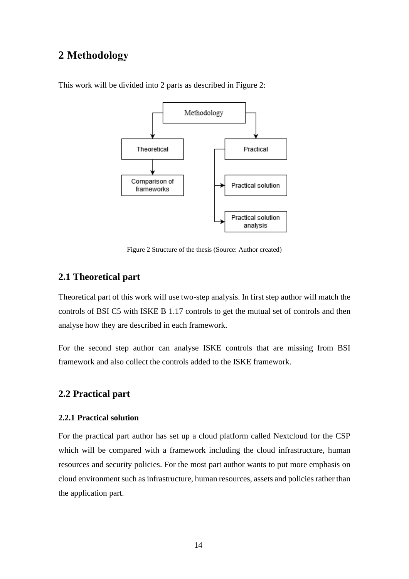## <span id="page-13-0"></span>**2 Methodology**



This work will be divided into 2 parts as described in Figure 2:

Figure 2 Structure of the thesis (Source: Author created)

### <span id="page-13-4"></span><span id="page-13-1"></span>**2.1 Theoretical part**

Theoretical part of this work will use two-step analysis. In first step author will match the controls of BSI C5 with ISKE B 1.17 controls to get the mutual set of controls and then analyse how they are described in each framework.

For the second step author can analyse ISKE controls that are missing from BSI framework and also collect the controls added to the ISKE framework.

#### <span id="page-13-2"></span>**2.2 Practical part**

#### <span id="page-13-3"></span>**2.2.1 Practical solution**

For the practical part author has set up a cloud platform called Nextcloud for the CSP which will be compared with a framework including the cloud infrastructure, human resources and security policies. For the most part author wants to put more emphasis on cloud environment such as infrastructure, human resources, assets and policies rather than the application part.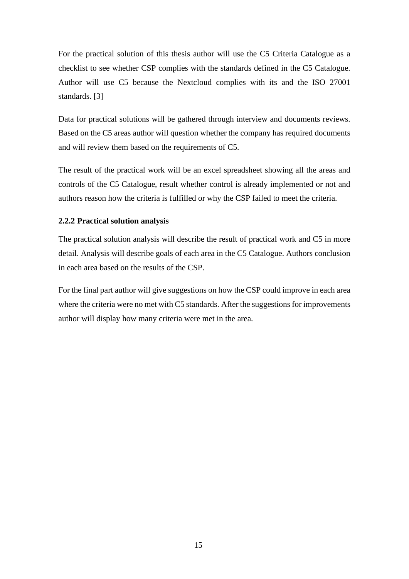For the practical solution of this thesis author will use the C5 Criteria Catalogue as a checklist to see whether CSP complies with the standards defined in the C5 Catalogue. Author will use C5 because the Nextcloud complies with its and the ISO 27001 standards. [3]

Data for practical solutions will be gathered through interview and documents reviews. Based on the C5 areas author will question whether the company has required documents and will review them based on the requirements of C5.

The result of the practical work will be an excel spreadsheet showing all the areas and controls of the C5 Catalogue, result whether control is already implemented or not and authors reason how the criteria is fulfilled or why the CSP failed to meet the criteria.

### <span id="page-14-0"></span>**2.2.2 Practical solution analysis**

The practical solution analysis will describe the result of practical work and C5 in more detail. Analysis will describe goals of each area in the C5 Catalogue. Authors conclusion in each area based on the results of the CSP.

For the final part author will give suggestions on how the CSP could improve in each area where the criteria were no met with C5 standards. After the suggestions for improvements author will display how many criteria were met in the area.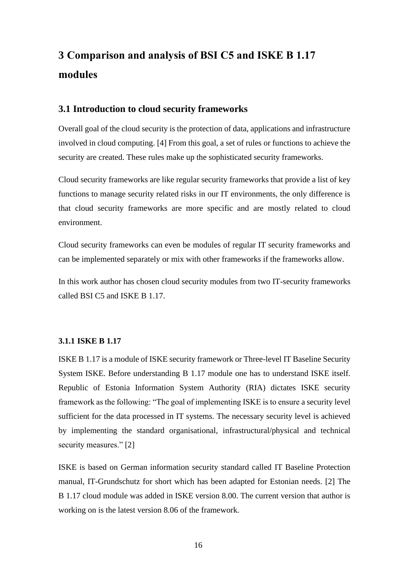# <span id="page-15-0"></span>**3 Comparison and analysis of BSI C5 and ISKE B 1.17 modules**

### <span id="page-15-1"></span>**3.1 Introduction to cloud security frameworks**

Overall goal of the cloud security is the protection of data, applications and infrastructure involved in cloud computing. [4] From this goal, a set of rules or functions to achieve the security are created. These rules make up the sophisticated security frameworks.

Cloud security frameworks are like regular security frameworks that provide a list of key functions to manage security related risks in our IT environments, the only difference is that cloud security frameworks are more specific and are mostly related to cloud environment.

Cloud security frameworks can even be modules of regular IT security frameworks and can be implemented separately or mix with other frameworks if the frameworks allow.

In this work author has chosen cloud security modules from two IT-security frameworks called BSI C5 and ISKE B 1.17.

#### <span id="page-15-2"></span>**3.1.1 ISKE B 1.17**

ISKE B 1.17 is a module of ISKE security framework or Three-level IT Baseline Security System ISKE. Before understanding B 1.17 module one has to understand ISKE itself. Republic of Estonia Information System Authority (RIA) dictates ISKE security framework as the following: "The goal of implementing ISKE is to ensure a security level sufficient for the data processed in IT systems. The necessary security level is achieved by implementing the standard organisational, infrastructural/physical and technical security measures." [2]

ISKE is based on German information security standard called IT Baseline Protection manual, IT-Grundschutz for short which has been adapted for Estonian needs. [2] The B 1.17 cloud module was added in ISKE version 8.00. The current version that author is working on is the latest version 8.06 of the framework.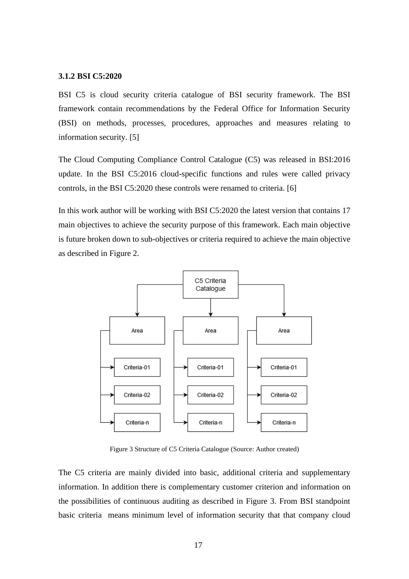#### <span id="page-16-0"></span>**3.1.2 BSI C5:2020**

BSI C5 is cloud security criteria catalogue of BSI security framework. The BSI framework contain recommendations by the Federal Office for Information Security (BSI) on methods, processes, procedures, approaches and measures relating to information security. [5]

The Cloud Computing Compliance Control Catalogue (C5) was released in BSI:2016 update. In the BSI C5:2016 cloud-specific functions and rules were called privacy controls, in the BSI C5:2020 these controls were renamed to criteria. [6]

In this work author will be working with BSI C5:2020 the latest version that contains 17 main objectives to achieve the security purpose of this framework. Each main objective is future broken down to sub-objectives or criteria required to achieve the main objective as described in Figure 2.



Figure 3 Structure of C5 Criteria Catalogue (Source: Author created)

<span id="page-16-1"></span>The C5 criteria are mainly divided into basic, additional criteria and supplementary information. In addition there is complementary customer criterion and information on the possibilities of continuous auditing as described in Figure 3. From BSI standpoint basic criteria means minimum level of information security that that company cloud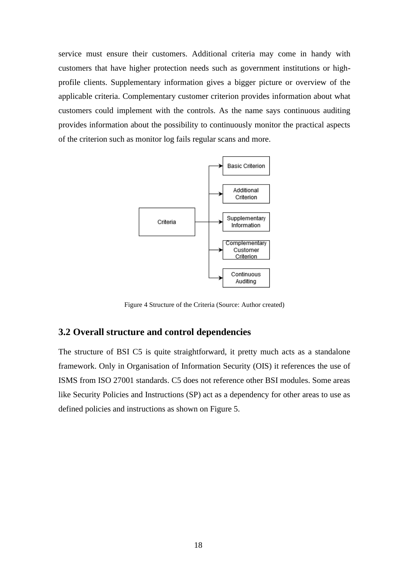service must ensure their customers. Additional criteria may come in handy with customers that have higher protection needs such as government institutions or highprofile clients. Supplementary information gives a bigger picture or overview of the applicable criteria. Complementary customer criterion provides information about what customers could implement with the controls. As the name says continuous auditing provides information about the possibility to continuously monitor the practical aspects of the criterion such as monitor log fails regular scans and more.



Figure 4 Structure of the Criteria (Source: Author created)

#### <span id="page-17-1"></span><span id="page-17-0"></span>**3.2 Overall structure and control dependencies**

The structure of BSI C5 is quite straightforward, it pretty much acts as a standalone framework. Only in Organisation of Information Security (OIS) it references the use of ISMS from ISO 27001 standards. C5 does not reference other BSI modules. Some areas like Security Policies and Instructions (SP) act as a dependency for other areas to use as defined policies and instructions as shown on Figure 5.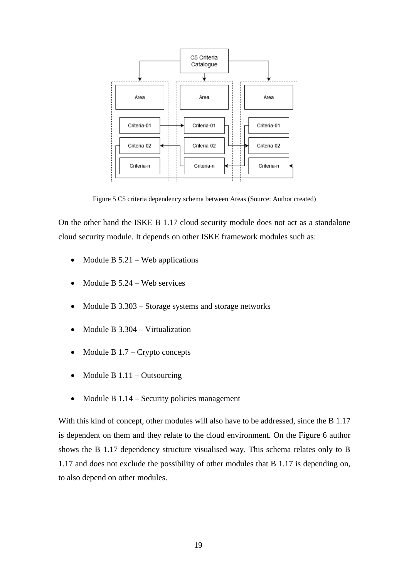

Figure 5 C5 criteria dependency schema between Areas (Source: Author created)

<span id="page-18-0"></span>On the other hand the ISKE B 1.17 cloud security module does not act as a standalone cloud security module. It depends on other ISKE framework modules such as:

- Module B  $5.21$  Web applications
- Module B  $5.24$  Web services
- Module B 3.303 Storage systems and storage networks
- Module B 3.304 Virtualization
- Module B  $1.7 -$ Crypto concepts
- Module B  $1.11 -$ Outsourcing
- Module B 1.14 Security policies management

With this kind of concept, other modules will also have to be addressed, since the B 1.17 is dependent on them and they relate to the cloud environment. On the Figure 6 author shows the B 1.17 dependency structure visualised way. This schema relates only to B 1.17 and does not exclude the possibility of other modules that B 1.17 is depending on, to also depend on other modules.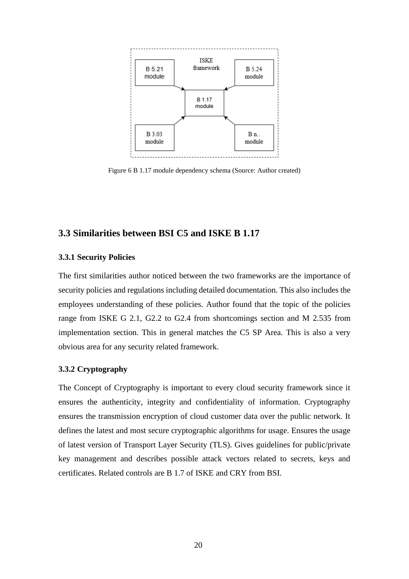

<span id="page-19-3"></span>Figure 6 B 1.17 module dependency schema (Source: Author created)

### <span id="page-19-0"></span>**3.3 Similarities between BSI C5 and ISKE B 1.17**

#### <span id="page-19-1"></span>**3.3.1 Security Policies**

The first similarities author noticed between the two frameworks are the importance of security policies and regulations including detailed documentation. This also includes the employees understanding of these policies. Author found that the topic of the policies range from ISKE G 2.1, G2.2 to G2.4 from shortcomings section and M 2.535 from implementation section. This in general matches the C5 SP Area. This is also a very obvious area for any security related framework.

#### <span id="page-19-2"></span>**3.3.2 Cryptography**

The Concept of Cryptography is important to every cloud security framework since it ensures the authenticity, integrity and confidentiality of information. Cryptography ensures the transmission encryption of cloud customer data over the public network. It defines the latest and most secure cryptographic algorithms for usage. Ensures the usage of latest version of Transport Layer Security (TLS). Gives guidelines for public/private key management and describes possible attack vectors related to secrets, keys and certificates. Related controls are B 1.7 of ISKE and CRY from BSI.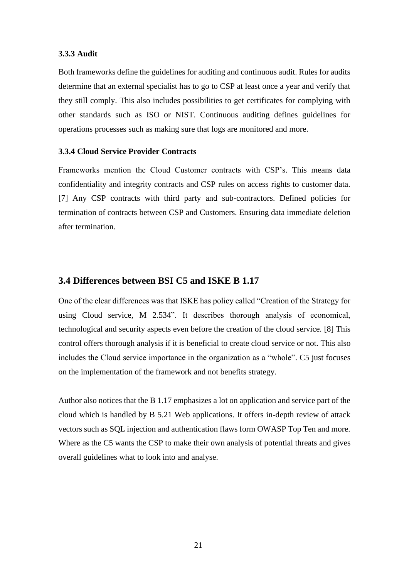#### <span id="page-20-0"></span>**3.3.3 Audit**

Both frameworks define the guidelines for auditing and continuous audit. Rules for audits determine that an external specialist has to go to CSP at least once a year and verify that they still comply. This also includes possibilities to get certificates for complying with other standards such as ISO or NIST. Continuous auditing defines guidelines for operations processes such as making sure that logs are monitored and more.

#### <span id="page-20-1"></span>**3.3.4 Cloud Service Provider Contracts**

Frameworks mention the Cloud Customer contracts with CSP's. This means data confidentiality and integrity contracts and CSP rules on access rights to customer data. [7] Any CSP contracts with third party and sub-contractors. Defined policies for termination of contracts between CSP and Customers. Ensuring data immediate deletion after termination.

### <span id="page-20-2"></span>**3.4 Differences between BSI C5 and ISKE B 1.17**

One of the clear differences was that ISKE has policy called "Creation of the Strategy for using Cloud service, M 2.534". It describes thorough analysis of economical, technological and security aspects even before the creation of the cloud service. [8] This control offers thorough analysis if it is beneficial to create cloud service or not. This also includes the Cloud service importance in the organization as a "whole". C5 just focuses on the implementation of the framework and not benefits strategy.

Author also notices that the B 1.17 emphasizes a lot on application and service part of the cloud which is handled by B 5.21 Web applications. It offers in-depth review of attack vectors such as SQL injection and authentication flaws form OWASP Top Ten and more. Where as the C5 wants the CSP to make their own analysis of potential threats and gives overall guidelines what to look into and analyse.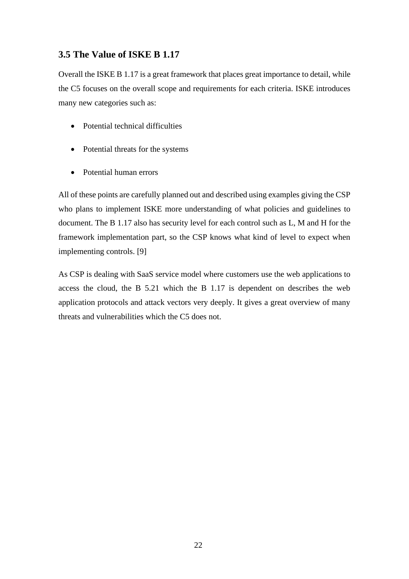## <span id="page-21-0"></span>**3.5 The Value of ISKE B 1.17**

Overall the ISKE B 1.17 is a great framework that places great importance to detail, while the C5 focuses on the overall scope and requirements for each criteria. ISKE introduces many new categories such as:

- Potential technical difficulties
- Potential threats for the systems
- Potential human errors

All of these points are carefully planned out and described using examples giving the CSP who plans to implement ISKE more understanding of what policies and guidelines to document. The B 1.17 also has security level for each control such as L, M and H for the framework implementation part, so the CSP knows what kind of level to expect when implementing controls. [9]

As CSP is dealing with SaaS service model where customers use the web applications to access the cloud, the B 5.21 which the B 1.17 is dependent on describes the web application protocols and attack vectors very deeply. It gives a great overview of many threats and vulnerabilities which the C5 does not.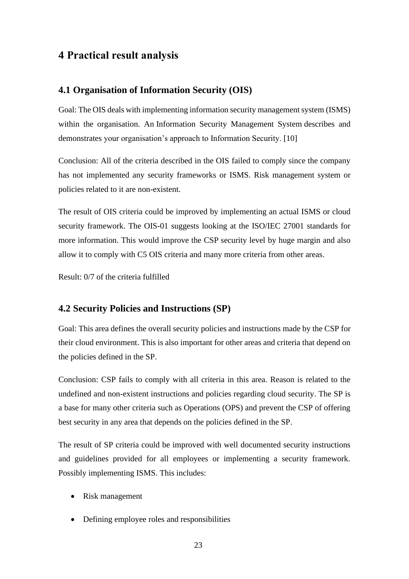## <span id="page-22-0"></span>**4 Practical result analysis**

### <span id="page-22-1"></span>**4.1 Organisation of Information Security (OIS)**

Goal: The OIS deals with implementing information security management system (ISMS) within the organisation. An Information Security Management System describes and demonstrates your organisation's approach to Information Security. [10]

Conclusion: All of the criteria described in the OIS failed to comply since the company has not implemented any security frameworks or ISMS. Risk management system or policies related to it are non-existent.

The result of OIS criteria could be improved by implementing an actual ISMS or cloud security framework. The OIS-01 suggests looking at the ISO/IEC 27001 standards for more information. This would improve the CSP security level by huge margin and also allow it to comply with C5 OIS criteria and many more criteria from other areas.

Result: 0/7 of the criteria fulfilled

#### <span id="page-22-2"></span>**4.2 Security Policies and Instructions (SP)**

Goal: This area defines the overall security policies and instructions made by the CSP for their cloud environment. This is also important for other areas and criteria that depend on the policies defined in the SP.

Conclusion: CSP fails to comply with all criteria in this area. Reason is related to the undefined and non-existent instructions and policies regarding cloud security. The SP is a base for many other criteria such as Operations (OPS) and prevent the CSP of offering best security in any area that depends on the policies defined in the SP.

The result of SP criteria could be improved with well documented security instructions and guidelines provided for all employees or implementing a security framework. Possibly implementing ISMS. This includes:

- Risk management
- Defining employee roles and responsibilities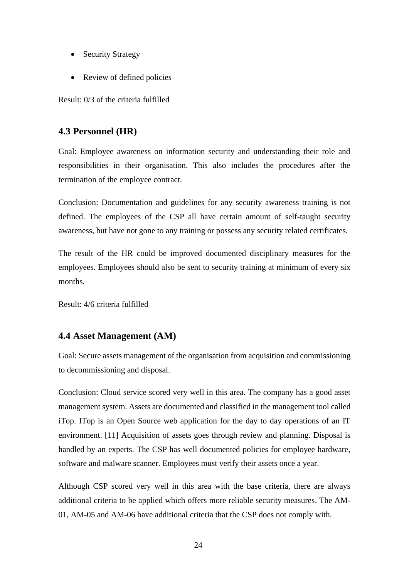- Security Strategy
- Review of defined policies

Result: 0/3 of the criteria fulfilled

## <span id="page-23-0"></span>**4.3 Personnel (HR)**

Goal: Employee awareness on information security and understanding their role and responsibilities in their organisation. This also includes the procedures after the termination of the employee contract.

Conclusion: Documentation and guidelines for any security awareness training is not defined. The employees of the CSP all have certain amount of self-taught security awareness, but have not gone to any training or possess any security related certificates.

The result of the HR could be improved documented disciplinary measures for the employees. Employees should also be sent to security training at minimum of every six months.

Result: 4/6 criteria fulfilled

## <span id="page-23-1"></span>**4.4 Asset Management (AM)**

Goal: Secure assets management of the organisation from acquisition and commissioning to decommissioning and disposal.

Conclusion: Cloud service scored very well in this area. The company has a good asset management system. Assets are documented and classified in the management tool called iTop. ITop is an Open Source web application for the day to day operations of an IT environment. [11] Acquisition of assets goes through review and planning. Disposal is handled by an experts. The CSP has well documented policies for employee hardware, software and malware scanner. Employees must verify their assets once a year.

Although CSP scored very well in this area with the base criteria, there are always additional criteria to be applied which offers more reliable security measures. The AM-01, AM-05 and AM-06 have additional criteria that the CSP does not comply with.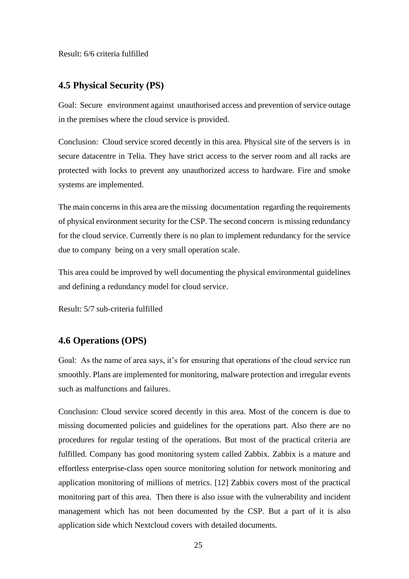Result: 6/6 criteria fulfilled

### <span id="page-24-0"></span>**4.5 Physical Security (PS)**

Goal: Secure environment against unauthorised access and prevention of service outage in the premises where the cloud service is provided.

Conclusion: Cloud service scored decently in this area. Physical site of the servers is in secure datacentre in Telia. They have strict access to the server room and all racks are protected with locks to prevent any unauthorized access to hardware. Fire and smoke systems are implemented.

The main concerns in this area are the missing documentation regarding the requirements of physical environment security for the CSP. The second concern is missing redundancy for the cloud service. Currently there is no plan to implement redundancy for the service due to company being on a very small operation scale.

This area could be improved by well documenting the physical environmental guidelines and defining a redundancy model for cloud service.

Result: 5/7 sub-criteria fulfilled

#### <span id="page-24-1"></span>**4.6 Operations (OPS)**

Goal: As the name of area says, it's for ensuring that operations of the cloud service run smoothly. Plans are implemented for monitoring, malware protection and irregular events such as malfunctions and failures.

Conclusion: Cloud service scored decently in this area. Most of the concern is due to missing documented policies and guidelines for the operations part. Also there are no procedures for regular testing of the operations. But most of the practical criteria are fulfilled. Company has good monitoring system called Zabbix. Zabbix is a mature and effortless enterprise-class open source monitoring solution for network monitoring and application monitoring of millions of metrics. [12] Zabbix covers most of the practical monitoring part of this area. Then there is also issue with the vulnerability and incident management which has not been documented by the CSP. But a part of it is also application side which Nextcloud covers with detailed documents.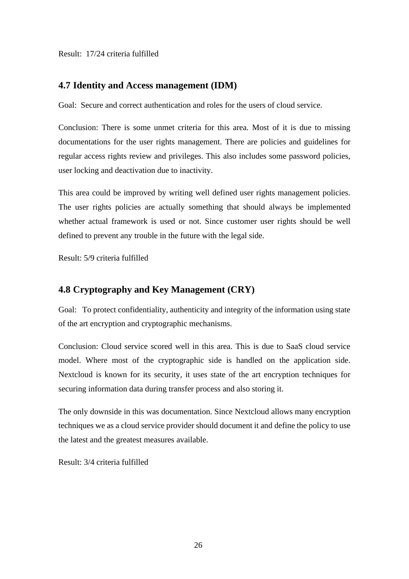Result: 17/24 criteria fulfilled

## <span id="page-25-0"></span>**4.7 Identity and Access management (IDM)**

Goal: Secure and correct authentication and roles for the users of cloud service.

Conclusion: There is some unmet criteria for this area. Most of it is due to missing documentations for the user rights management. There are policies and guidelines for regular access rights review and privileges. This also includes some password policies, user locking and deactivation due to inactivity.

This area could be improved by writing well defined user rights management policies. The user rights policies are actually something that should always be implemented whether actual framework is used or not. Since customer user rights should be well defined to prevent any trouble in the future with the legal side.

Result: 5/9 criteria fulfilled

## <span id="page-25-1"></span>**4.8 Cryptography and Key Management (CRY)**

Goal: To protect confidentiality, authenticity and integrity of the information using state of the art encryption and cryptographic mechanisms.

Conclusion: Cloud service scored well in this area. This is due to SaaS cloud service model. Where most of the cryptographic side is handled on the application side. Nextcloud is known for its security, it uses state of the art encryption techniques for securing information data during transfer process and also storing it.

The only downside in this was documentation. Since Nextcloud allows many encryption techniques we as a cloud service provider should document it and define the policy to use the latest and the greatest measures available.

Result: 3/4 criteria fulfilled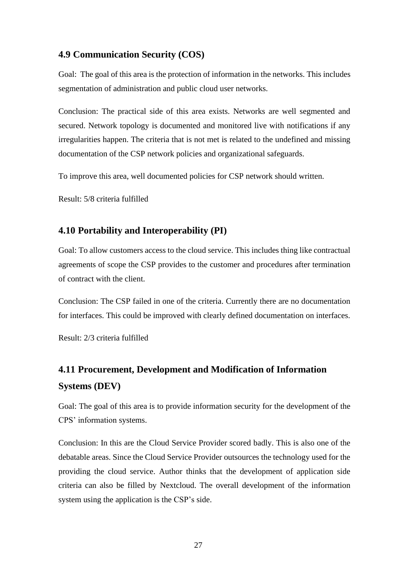## <span id="page-26-0"></span>**4.9 Communication Security (COS)**

Goal: The goal of this area is the protection of information in the networks. This includes segmentation of administration and public cloud user networks.

Conclusion: The practical side of this area exists. Networks are well segmented and secured. Network topology is documented and monitored live with notifications if any irregularities happen. The criteria that is not met is related to the undefined and missing documentation of the CSP network policies and organizational safeguards.

To improve this area, well documented policies for CSP network should written.

Result: 5/8 criteria fulfilled

## <span id="page-26-1"></span>**4.10 Portability and Interoperability (PI)**

Goal: To allow customers access to the cloud service. This includes thing like contractual agreements of scope the CSP provides to the customer and procedures after termination of contract with the client.

Conclusion: The CSP failed in one of the criteria. Currently there are no documentation for interfaces. This could be improved with clearly defined documentation on interfaces.

Result: 2/3 criteria fulfilled

## <span id="page-26-2"></span>**4.11 Procurement, Development and Modification of Information Systems (DEV)**

Goal: The goal of this area is to provide information security for the development of the CPS' information systems.

Conclusion: In this are the Cloud Service Provider scored badly. This is also one of the debatable areas. Since the Cloud Service Provider outsources the technology used for the providing the cloud service. Author thinks that the development of application side criteria can also be filled by Nextcloud. The overall development of the information system using the application is the CSP's side.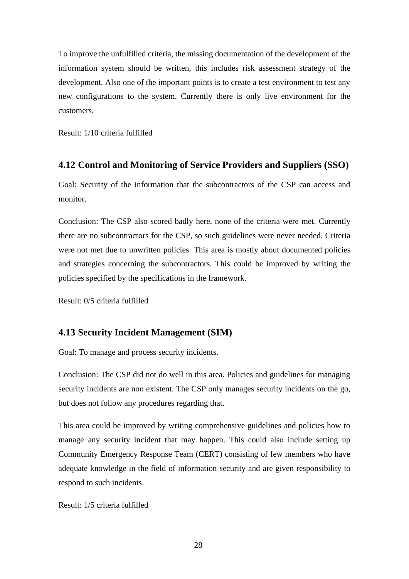To improve the unfulfilled criteria, the missing documentation of the development of the information system should be written, this includes risk assessment strategy of the development. Also one of the important points is to create a test environment to test any new configurations to the system. Currently there is only live environment for the customers.

Result: 1/10 criteria fulfilled

## <span id="page-27-0"></span>**4.12 Control and Monitoring of Service Providers and Suppliers (SSO)**

Goal: Security of the information that the subcontractors of the CSP can access and monitor.

Conclusion: The CSP also scored badly here, none of the criteria were met. Currently there are no subcontractors for the CSP, so such guidelines were never needed. Criteria were not met due to unwritten policies. This area is mostly about documented policies and strategies concerning the subcontractors. This could be improved by writing the policies specified by the specifications in the framework.

Result: 0/5 criteria fulfilled

## <span id="page-27-1"></span>**4.13 Security Incident Management (SIM)**

Goal: To manage and process security incidents.

Conclusion: The CSP did not do well in this area. Policies and guidelines for managing security incidents are non existent. The CSP only manages security incidents on the go, but does not follow any procedures regarding that.

This area could be improved by writing comprehensive guidelines and policies how to manage any security incident that may happen. This could also include setting up Community Emergency Response Team (CERT) consisting of few members who have adequate knowledge in the field of information security and are given responsibility to respond to such incidents.

Result: 1/5 criteria fulfilled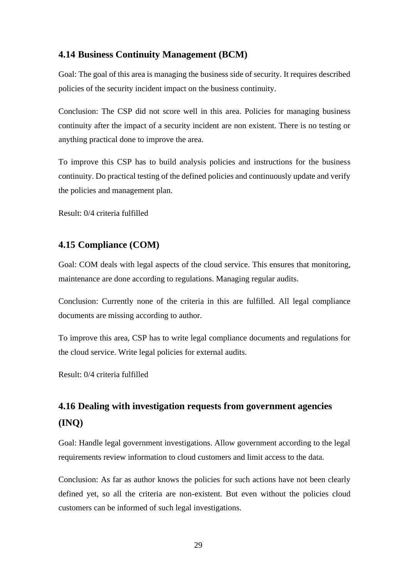## <span id="page-28-0"></span>**4.14 Business Continuity Management (BCM)**

Goal: The goal of this area is managing the business side of security. It requires described policies of the security incident impact on the business continuity.

Conclusion: The CSP did not score well in this area. Policies for managing business continuity after the impact of a security incident are non existent. There is no testing or anything practical done to improve the area.

To improve this CSP has to build analysis policies and instructions for the business continuity. Do practical testing of the defined policies and continuously update and verify the policies and management plan.

Result: 0/4 criteria fulfilled

## <span id="page-28-1"></span>**4.15 Compliance (COM)**

Goal: COM deals with legal aspects of the cloud service. This ensures that monitoring, maintenance are done according to regulations. Managing regular audits.

Conclusion: Currently none of the criteria in this are fulfilled. All legal compliance documents are missing according to author.

To improve this area, CSP has to write legal compliance documents and regulations for the cloud service. Write legal policies for external audits.

Result: 0/4 criteria fulfilled

## <span id="page-28-2"></span>**4.16 Dealing with investigation requests from government agencies (INQ)**

Goal: Handle legal government investigations. Allow government according to the legal requirements review information to cloud customers and limit access to the data.

Conclusion: As far as author knows the policies for such actions have not been clearly defined yet, so all the criteria are non-existent. But even without the policies cloud customers can be informed of such legal investigations.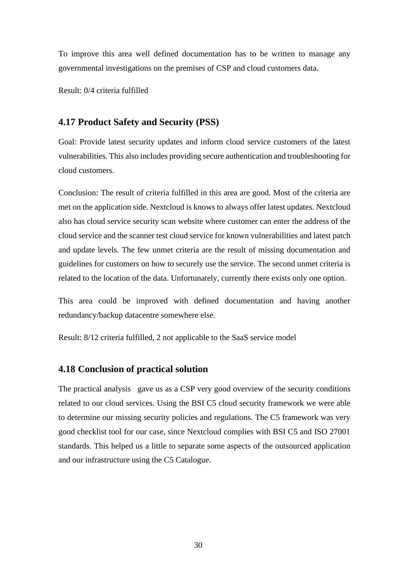To improve this area well defined documentation has to be written to manage any governmental investigations on the premises of CSP and cloud customers data.

Result: 0/4 criteria fulfilled

### <span id="page-29-0"></span>**4.17 Product Safety and Security (PSS)**

Goal: Provide latest security updates and inform cloud service customers of the latest vulnerabilities. This also includes providing secure authentication and troubleshooting for cloud customers.

Conclusion: The result of criteria fulfilled in this area are good. Most of the criteria are met on the application side. Nextcloud is knows to always offer latest updates. Nextcloud also has cloud service security scan website where customer can enter the address of the cloud service and the scanner test cloud service for known vulnerabilities and latest patch and update levels. The few unmet criteria are the result of missing documentation and guidelines for customers on how to securely use the service. The second unmet criteria is related to the location of the data. Unfortunately, currently there exists only one option.

This area could be improved with defined documentation and having another redundancy/backup datacentre somewhere else.

Result: 8/12 criteria fulfilled, 2 not applicable to the SaaS service model

#### <span id="page-29-1"></span>**4.18 Conclusion of practical solution**

The practical analysis gave us as a CSP very good overview of the security conditions related to our cloud services. Using the BSI C5 cloud security framework we were able to determine our missing security policies and regulations. The C5 framework was very good checklist tool for our case, since Nextcloud complies with BSI C5 and ISO 27001 standards. This helped us a little to separate some aspects of the outsourced application and our infrastructure using the C5 Catalogue.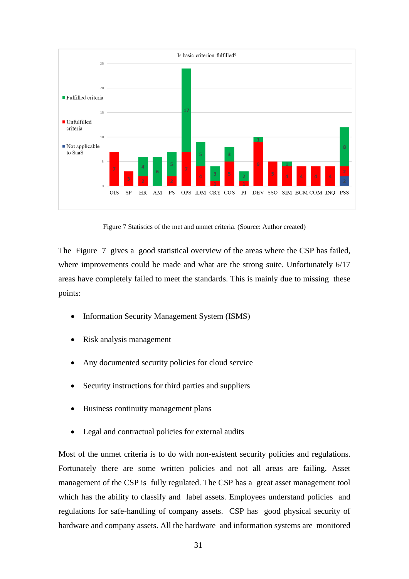

Figure 7 Statistics of the met and unmet criteria. (Source: Author created)

<span id="page-30-0"></span>The Figure 7gives a good statistical overview of the areas where the CSP has failed, where improvements could be made and what are the strong suite. Unfortunately 6/17 areas have completely failed to meet the standards. This is mainly due to missing these points:

- Information Security Management System (ISMS)
- Risk analysis management
- Any documented security policies for cloud service
- Security instructions for third parties and suppliers
- Business continuity management plans
- Legal and contractual policies for external audits

Most of the unmet criteria is to do with non-existent security policies and regulations. Fortunately there are some written policies and not all areas are failing. Asset management of the CSP is fully regulated. The CSP has a great asset management tool which has the ability to classify and label assets. Employees understand policies and regulations for safe-handling of company assets. CSP has good physical security of hardware and company assets. All the hardware and information systems are monitored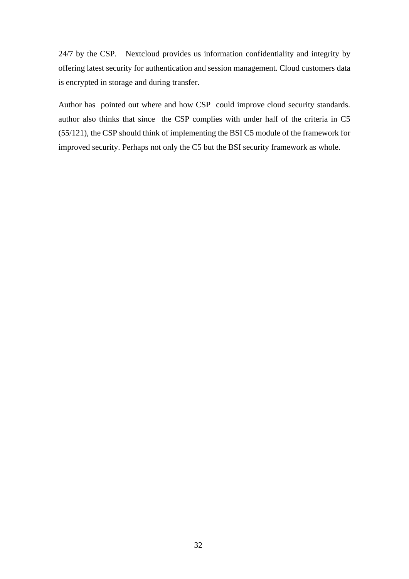24/7 by the CSP. Nextcloud provides us information confidentiality and integrity by offering latest security for authentication and session management. Cloud customers data is encrypted in storage and during transfer.

Author has pointed out where and how CSP could improve cloud security standards. author also thinks that since the CSP complies with under half of the criteria in C5 (55/121), the CSP should think of implementing the BSI C5 module of the framework for improved security. Perhaps not only the C5 but the BSI security framework as whole.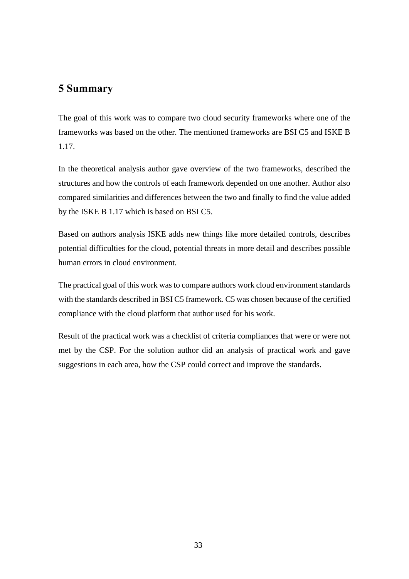## <span id="page-32-0"></span>**5 Summary**

The goal of this work was to compare two cloud security frameworks where one of the frameworks was based on the other. The mentioned frameworks are BSI C5 and ISKE B 1.17.

In the theoretical analysis author gave overview of the two frameworks, described the structures and how the controls of each framework depended on one another. Author also compared similarities and differences between the two and finally to find the value added by the ISKE B 1.17 which is based on BSI C5.

Based on authors analysis ISKE adds new things like more detailed controls, describes potential difficulties for the cloud, potential threats in more detail and describes possible human errors in cloud environment.

The practical goal of this work was to compare authors work cloud environment standards with the standards described in BSI C5 framework. C5 was chosen because of the certified compliance with the cloud platform that author used for his work.

Result of the practical work was a checklist of criteria compliances that were or were not met by the CSP. For the solution author did an analysis of practical work and gave suggestions in each area, how the CSP could correct and improve the standards.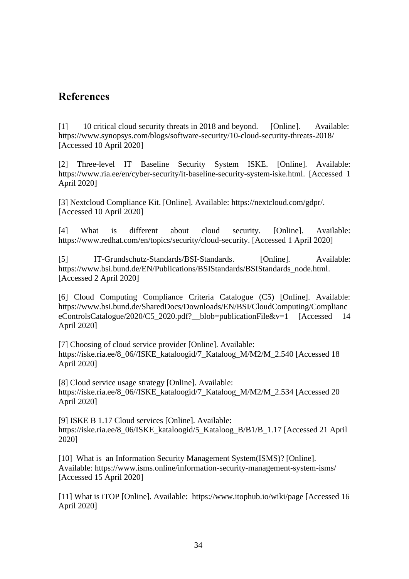## <span id="page-33-0"></span>**References**

[1] 10 critical cloud security threats in 2018 and beyond. [Online]. Available: <https://www.synopsys.com/blogs/software-security/10-cloud-security-threats-2018/> [Accessed 10 April 2020]

[2] Three-level IT Baseline Security System ISKE. [Online]. Available: https://www.ria.ee/en/cyber-security/it-baseline-security-system-iske.html. [Accessed 1 April 2020]

[3] Nextcloud Compliance Kit. [Online]. Available: [https://nextcloud.com/gdpr/.](https://nextcloud.com/gdpr/) [Accessed 10 April 2020]

[4] What is different about cloud security. [Online]. Available: https://www.redhat.com/en/topics/security/cloud-security. [Accessed 1 April 2020]

[5] IT-Grundschutz-Standards/BSI-Standards. [Online]. Available: https://www.bsi.bund.de/EN/Publications/BSIStandards/BSIStandards\_node.html. [Accessed 2 April 2020]

[6] Cloud Computing Compliance Criteria Catalogue (C5) [Online]. Available: [https://www.bsi.bund.de/SharedDocs/Downloads/EN/BSI/CloudComputing/Complianc](https://www.bsi.bund.de/SharedDocs/Downloads/EN/BSI/CloudComputing/ComplianceControlsCatalogue/2020/C5_2020.pdf?__blob=publicationFile&v=1) [eControlsCatalogue/2020/C5\\_2020.pdf?\\_\\_blob=publicationFile&v=1](https://www.bsi.bund.de/SharedDocs/Downloads/EN/BSI/CloudComputing/ComplianceControlsCatalogue/2020/C5_2020.pdf?__blob=publicationFile&v=1) [Accessed 14 April 2020]

[7] Choosing of cloud service provider [Online]. Available: [https://iske.ria.ee/8\\_06//ISKE\\_kataloogid/7\\_Kataloog\\_M/M2/M\\_2.540](https://iske.ria.ee/8_06/ISKE_kataloogid/7_Kataloog_M/M2/M_2.540) [Accessed 18 April 2020]

[8] Cloud service usage strategy [Online]. Available: [https://iske.ria.ee/8\\_06//ISKE\\_kataloogid/7\\_Kataloog\\_M/M2/M\\_2.534](https://iske.ria.ee/8_06/ISKE_kataloogid/7_Kataloog_M/M2/M_2.534) [Accessed 20 April 2020]

[9] ISKE B 1.17 Cloud services [Online]. Available: [https://iske.ria.ee/8\\_06/ISKE\\_kataloogid/5\\_Kataloog\\_B/B1/B\\_1.17](https://iske.ria.ee/8_06/ISKE_kataloogid/5_Kataloog_B/B1/B_1.17) [Accessed 21 April 2020]

[10] What is an Information Security Management System(ISMS)? [Online]. Available:<https://www.isms.online/information-security-management-system-isms/> [Accessed 15 April 2020]

[11] What is iTOP [Online]. Available: <https://www.itophub.io/wiki/page> [Accessed 16 April 2020]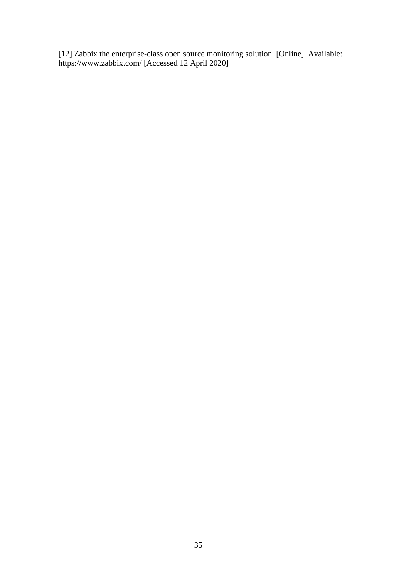[12] Zabbix the enterprise-class open source monitoring solution. [Online]. Available: <https://www.zabbix.com/> [Accessed 12 April 2020]